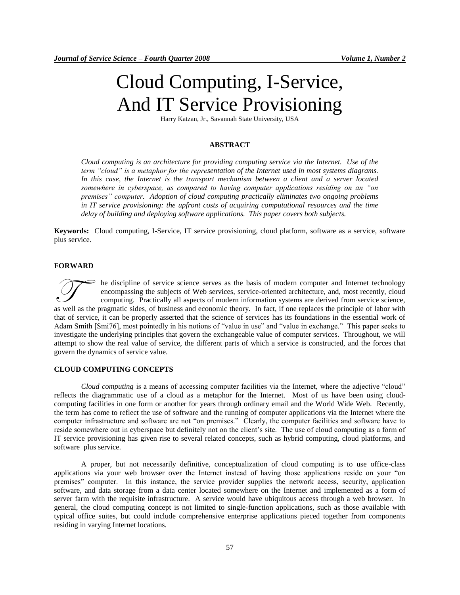# Cloud Computing, I-Service, And IT Service Provisioning

Harry Katzan, Jr., Savannah State University, USA

#### **ABSTRACT**

*Cloud computing is an architecture for providing computing service via the Internet. Use of the term "cloud" is a metaphor for the representation of the Internet used in most systems diagrams. In this case, the Internet is the transport mechanism between a client and a server located somewhere in cyberspace, as compared to having computer applications residing on an "on premises" computer. Adoption of cloud computing practically eliminates two ongoing problems in IT service provisioning: the upfront costs of acquiring computational resources and the time delay of building and deploying software applications. This paper covers both subjects.* 

**Keywords:** Cloud computing, I-Service, IT service provisioning, cloud platform, software as a service, software plus service.

#### **FORWARD**

he discipline of service science serves as the basis of modern computer and Internet technology encompassing the subjects of Web services, service-oriented architecture, and, most recently, cloud computing. Practically all aspects of modern information systems are derived from service science, as well as the pragmatic sides, of business and economic theory. In fact, if one replaces the principle of labor with as well as the pragmatic sides, of business and economic theory. In fact, if one replaces the principle that of service, it can be properly asserted that the science of services has its foundations in the essential work of Adam Smith [Smi76], most pointedly in his notions of "value in use" and "value in exchange." This paper seeks to investigate the underlying principles that govern the exchangeable value of computer services. Throughout, we will attempt to show the real value of service, the different parts of which a service is constructed, and the forces that govern the dynamics of service value.

## **CLOUD COMPUTING CONCEPTS**

*Cloud computing* is a means of accessing computer facilities via the Internet, where the adjective "cloud" reflects the diagrammatic use of a cloud as a metaphor for the Internet. Most of us have been using cloudcomputing facilities in one form or another for years through ordinary email and the World Wide Web. Recently, the term has come to reflect the use of software and the running of computer applications via the Internet where the computer infrastructure and software are not "on premises." Clearly, the computer facilities and software have to reside somewhere out in cyberspace but definitely not on the client's site. The use of cloud computing as a form of IT service provisioning has given rise to several related concepts, such as hybrid computing, cloud platforms, and software plus service.

A proper, but not necessarily definitive, conceptualization of cloud computing is to use office-class applications via your web browser over the Internet instead of having those applications reside on your "on premises" computer. In this instance, the service provider supplies the network access, security, application software, and data storage from a data center located somewhere on the Internet and implemented as a form of server farm with the requisite infrastructure. A service would have ubiquitous access through a web browser. In general, the cloud computing concept is not limited to single-function applications, such as those available with typical office suites, but could include comprehensive enterprise applications pieced together from components residing in varying Internet locations.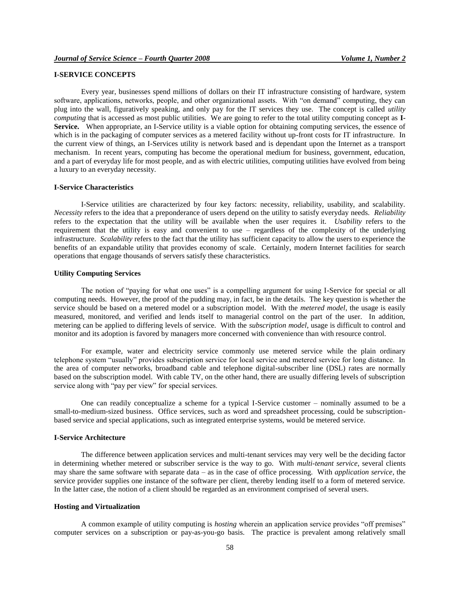# **I-SERVICE CONCEPTS**

Every year, businesses spend millions of dollars on their IT infrastructure consisting of hardware, system software, applications, networks, people, and other organizational assets. With "on demand" computing, they can plug into the wall, figuratively speaking, and only pay for the IT services they use. The concept is called *utility computing* that is accessed as most public utilities. We are going to refer to the total utility computing concept as **I-Service.** When appropriate, an I-Service utility is a viable option for obtaining computing services, the essence of which is in the packaging of computer services as a metered facility without up-front costs for IT infrastructure. In the current view of things, an I-Services utility is network based and is dependant upon the Internet as a transport mechanism. In recent years, computing has become the operational medium for business, government, education, and a part of everyday life for most people, and as with electric utilities, computing utilities have evolved from being a luxury to an everyday necessity.

## **I-Service Characteristics**

I-Service utilities are characterized by four key factors: necessity, reliability, usability, and scalability. *Necessity* refers to the idea that a preponderance of users depend on the utility to satisfy everyday needs. *Reliability* refers to the expectation that the utility will be available when the user requires it. *Usability* refers to the requirement that the utility is easy and convenient to use – regardless of the complexity of the underlying infrastructure. *Scalability* refers to the fact that the utility has sufficient capacity to allow the users to experience the benefits of an expandable utility that provides economy of scale. Certainly, modern Internet facilities for search operations that engage thousands of servers satisfy these characteristics.

#### **Utility Computing Services**

The notion of "paying for what one uses" is a compelling argument for using I-Service for special or all computing needs. However, the proof of the pudding may, in fact, be in the details. The key question is whether the service should be based on a metered model or a subscription model. With the *metered model*, the usage is easily measured, monitored, and verified and lends itself to managerial control on the part of the user. In addition, metering can be applied to differing levels of service. With the *subscription model*, usage is difficult to control and monitor and its adoption is favored by managers more concerned with convenience than with resource control.

For example, water and electricity service commonly use metered service while the plain ordinary telephone system "usually" provides subscription service for local service and metered service for long distance. In the area of computer networks, broadband cable and telephone digital-subscriber line (DSL) rates are normally based on the subscription model. With cable TV, on the other hand, there are usually differing levels of subscription service along with "pay per view" for special services.

One can readily conceptualize a scheme for a typical I-Service customer – nominally assumed to be a small-to-medium-sized business. Office services, such as word and spreadsheet processing, could be subscriptionbased service and special applications, such as integrated enterprise systems, would be metered service.

## **I-Service Architecture**

The difference between application services and multi-tenant services may very well be the deciding factor in determining whether metered or subscriber service is the way to go. With *multi-tenant service*, several clients may share the same software with separate data – as in the case of office processing. With *application service*, the service provider supplies one instance of the software per client, thereby lending itself to a form of metered service. In the latter case, the notion of a client should be regarded as an environment comprised of several users.

#### **Hosting and Virtualization**

A common example of utility computing is *hosting* wherein an application service provides "off premises" computer services on a subscription or pay-as-you-go basis. The practice is prevalent among relatively small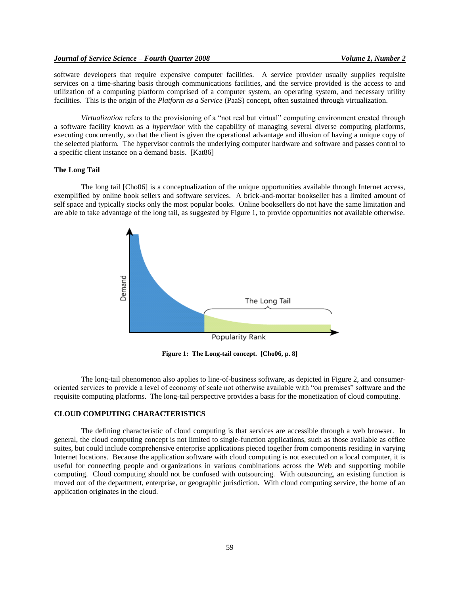#### *Journal of Service Science – Fourth Quarter 2008 Volume 1, Number 2*

software developers that require expensive computer facilities. A service provider usually supplies requisite services on a time-sharing basis through communications facilities, and the service provided is the access to and utilization of a computing platform comprised of a computer system, an operating system, and necessary utility facilities. This is the origin of the *Platform as a Service* (PaaS) concept, often sustained through virtualization.

*Virtualization* refers to the provisioning of a "not real but virtual" computing environment created through a software facility known as a *hypervisor* with the capability of managing several diverse computing platforms, executing concurrently, so that the client is given the operational advantage and illusion of having a unique copy of the selected platform. The hypervisor controls the underlying computer hardware and software and passes control to a specific client instance on a demand basis. [Kat86]

## **The Long Tail**

The long tail [Cho06] is a conceptualization of the unique opportunities available through Internet access, exemplified by online book sellers and software services. A brick-and-mortar bookseller has a limited amount of self space and typically stocks only the most popular books. Online booksellers do not have the same limitation and are able to take advantage of the long tail, as suggested by Figure 1, to provide opportunities not available otherwise.



**Figure 1: The Long-tail concept. [Cho06, p. 8]**

The long-tail phenomenon also applies to line-of-business software, as depicted in Figure 2, and consumeroriented services to provide a level of economy of scale not otherwise available with "on premises" software and the requisite computing platforms. The long-tail perspective provides a basis for the monetization of cloud computing.

## **CLOUD COMPUTING CHARACTERISTICS**

The defining characteristic of cloud computing is that services are accessible through a web browser. In general, the cloud computing concept is not limited to single-function applications, such as those available as office suites, but could include comprehensive enterprise applications pieced together from components residing in varying Internet locations. Because the application software with cloud computing is not executed on a local computer, it is useful for connecting people and organizations in various combinations across the Web and supporting mobile computing. Cloud computing should not be confused with outsourcing. With outsourcing, an existing function is moved out of the department, enterprise, or geographic jurisdiction. With cloud computing service, the home of an application originates in the cloud.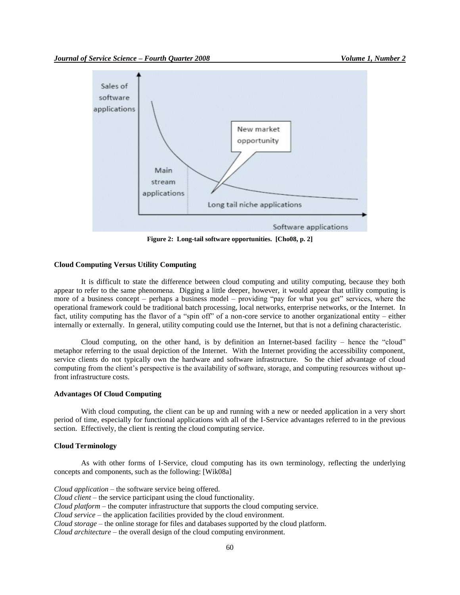

**Figure 2: Long-tail software opportunities. [Cho08, p. 2]**

## **Cloud Computing Versus Utility Computing**

It is difficult to state the difference between cloud computing and utility computing, because they both appear to refer to the same phenomena. Digging a little deeper, however, it would appear that utility computing is more of a business concept – perhaps a business model – providing "pay for what you get" services, where the operational framework could be traditional batch processing, local networks, enterprise networks, or the Internet. In fact, utility computing has the flavor of a "spin off" of a non-core service to another organizational entity – either internally or externally. In general, utility computing could use the Internet, but that is not a defining characteristic.

Cloud computing, on the other hand, is by definition an Internet-based facility – hence the "cloud" metaphor referring to the usual depiction of the Internet. With the Internet providing the accessibility component, service clients do not typically own the hardware and software infrastructure. So the chief advantage of cloud computing from the client's perspective is the availability of software, storage, and computing resources without upfront infrastructure costs.

#### **Advantages Of Cloud Computing**

With cloud computing, the client can be up and running with a new or needed application in a very short period of time, especially for functional applications with all of the I-Service advantages referred to in the previous section. Effectively, the client is renting the cloud computing service.

## **Cloud Terminology**

As with other forms of I-Service, cloud computing has its own terminology, reflecting the underlying concepts and components, such as the following: [Wik08a]

*Cloud application* – the software service being offered.

*Cloud client* – the service participant using the cloud functionality.

*Cloud platform* – the computer infrastructure that supports the cloud computing service.

*Cloud service* – the application facilities provided by the cloud environment.

*Cloud storage* – the online storage for files and databases supported by the cloud platform.

*Cloud architecture* – the overall design of the cloud computing environment.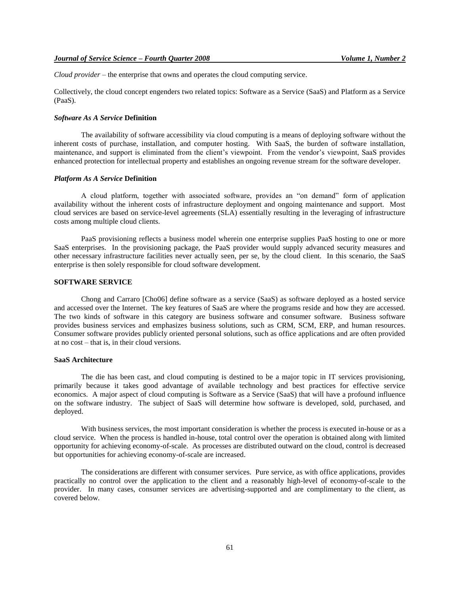*Cloud provider* – the enterprise that owns and operates the cloud computing service.

Collectively, the cloud concept engenders two related topics: Software as a Service (SaaS) and Platform as a Service (PaaS).

#### *Software As A Service* **Definition**

The availability of software accessibility via cloud computing is a means of deploying software without the inherent costs of purchase, installation, and computer hosting. With SaaS, the burden of software installation, maintenance, and support is eliminated from the client's viewpoint. From the vendor's viewpoint, SaaS provides enhanced protection for intellectual property and establishes an ongoing revenue stream for the software developer.

#### *Platform As A Service* **Definition**

A cloud platform, together with associated software, provides an "on demand" form of application availability without the inherent costs of infrastructure deployment and ongoing maintenance and support. Most cloud services are based on service-level agreements (SLA) essentially resulting in the leveraging of infrastructure costs among multiple cloud clients.

PaaS provisioning reflects a business model wherein one enterprise supplies PaaS hosting to one or more SaaS enterprises. In the provisioning package, the PaaS provider would supply advanced security measures and other necessary infrastructure facilities never actually seen, per se, by the cloud client. In this scenario, the SaaS enterprise is then solely responsible for cloud software development.

## **SOFTWARE SERVICE**

Chong and Carraro [Cho06] define software as a service (SaaS) as software deployed as a hosted service and accessed over the Internet. The key features of SaaS are where the programs reside and how they are accessed. The two kinds of software in this category are business software and consumer software. Business software provides business services and emphasizes business solutions, such as CRM, SCM, ERP, and human resources. Consumer software provides publicly oriented personal solutions, such as office applications and are often provided at no cost – that is, in their cloud versions.

## **SaaS Architecture**

The die has been cast, and cloud computing is destined to be a major topic in IT services provisioning, primarily because it takes good advantage of available technology and best practices for effective service economics. A major aspect of cloud computing is Software as a Service (SaaS) that will have a profound influence on the software industry. The subject of SaaS will determine how software is developed, sold, purchased, and deployed.

With business services, the most important consideration is whether the process is executed in-house or as a cloud service. When the process is handled in-house, total control over the operation is obtained along with limited opportunity for achieving economy-of-scale. As processes are distributed outward on the cloud, control is decreased but opportunities for achieving economy-of-scale are increased.

The considerations are different with consumer services. Pure service, as with office applications, provides practically no control over the application to the client and a reasonably high-level of economy-of-scale to the provider. In many cases, consumer services are advertising-supported and are complimentary to the client, as covered below.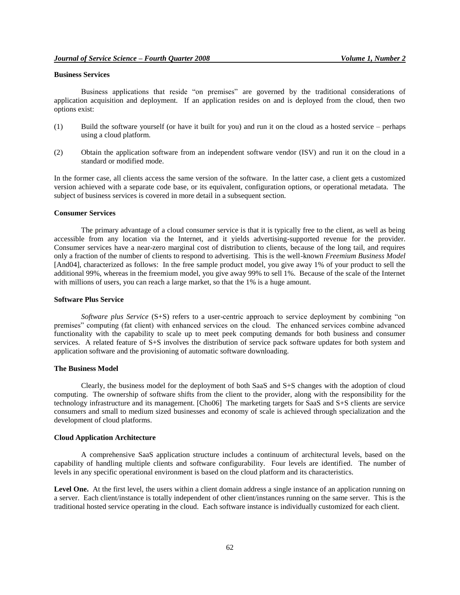## **Business Services**

Business applications that reside "on premises" are governed by the traditional considerations of application acquisition and deployment. If an application resides on and is deployed from the cloud, then two options exist:

- (1) Build the software yourself (or have it built for you) and run it on the cloud as a hosted service perhaps using a cloud platform.
- (2) Obtain the application software from an independent software vendor (ISV) and run it on the cloud in a standard or modified mode.

In the former case, all clients access the same version of the software. In the latter case, a client gets a customized version achieved with a separate code base, or its equivalent, configuration options, or operational metadata. The subject of business services is covered in more detail in a subsequent section.

#### **Consumer Services**

The primary advantage of a cloud consumer service is that it is typically free to the client, as well as being accessible from any location via the Internet, and it yields advertising-supported revenue for the provider. Consumer services have a near-zero marginal cost of distribution to clients, because of the long tail, and requires only a fraction of the number of clients to respond to advertising. This is the well-known *Freemium Business Model* [And04], characterized as follows: In the free sample product model, you give away 1% of your product to sell the additional 99%, whereas in the freemium model, you give away 99% to sell 1%. Because of the scale of the Internet with millions of users, you can reach a large market, so that the 1% is a huge amount.

#### **Software Plus Service**

*Software plus Service* (S+S) refers to a user-centric approach to service deployment by combining "on premises" computing (fat client) with enhanced services on the cloud. The enhanced services combine advanced functionality with the capability to scale up to meet peek computing demands for both business and consumer services. A related feature of S+S involves the distribution of service pack software updates for both system and application software and the provisioning of automatic software downloading.

#### **The Business Model**

Clearly, the business model for the deployment of both SaaS and S+S changes with the adoption of cloud computing. The ownership of software shifts from the client to the provider, along with the responsibility for the technology infrastructure and its management. [Cho06] The marketing targets for SaaS and S+S clients are service consumers and small to medium sized businesses and economy of scale is achieved through specialization and the development of cloud platforms.

#### **Cloud Application Architecture**

A comprehensive SaaS application structure includes a continuum of architectural levels, based on the capability of handling multiple clients and software configurability. Four levels are identified. The number of levels in any specific operational environment is based on the cloud platform and its characteristics.

Level One. At the first level, the users within a client domain address a single instance of an application running on a server. Each client/instance is totally independent of other client/instances running on the same server. This is the traditional hosted service operating in the cloud. Each software instance is individually customized for each client.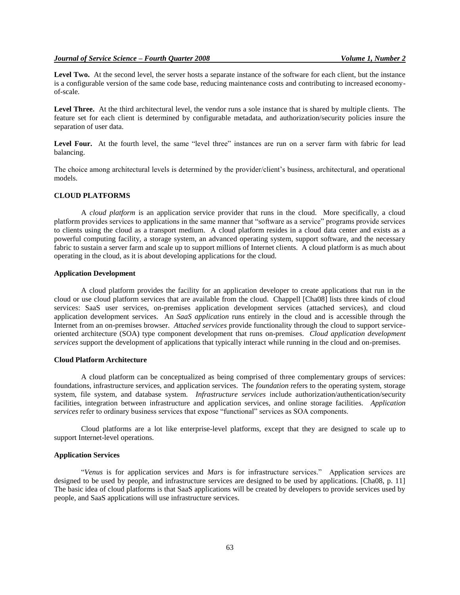Level Two. At the second level, the server hosts a separate instance of the software for each client, but the instance is a configurable version of the same code base, reducing maintenance costs and contributing to increased economyof-scale.

**Level Three.** At the third architectural level, the vendor runs a sole instance that is shared by multiple clients. The feature set for each client is determined by configurable metadata, and authorization/security policies insure the separation of user data.

Level Four. At the fourth level, the same "level three" instances are run on a server farm with fabric for lead balancing.

The choice among architectural levels is determined by the provider/client's business, architectural, and operational models.

#### **CLOUD PLATFORMS**

A *cloud platform* is an application service provider that runs in the cloud. More specifically, a cloud platform provides services to applications in the same manner that "software as a service" programs provide services to clients using the cloud as a transport medium. A cloud platform resides in a cloud data center and exists as a powerful computing facility, a storage system, an advanced operating system, support software, and the necessary fabric to sustain a server farm and scale up to support millions of Internet clients. A cloud platform is as much about operating in the cloud, as it is about developing applications for the cloud.

#### **Application Development**

A cloud platform provides the facility for an application developer to create applications that run in the cloud or use cloud platform services that are available from the cloud. Chappell [Cha08] lists three kinds of cloud services: SaaS user services, on-premises application development services (attached services), and cloud application development services. An *SaaS application* runs entirely in the cloud and is accessible through the Internet from an on-premises browser. *Attached services* provide functionality through the cloud to support serviceoriented architecture (SOA) type component development that runs on-premises. *Cloud application development services* support the development of applications that typically interact while running in the cloud and on-premises.

# **Cloud Platform Architecture**

A cloud platform can be conceptualized as being comprised of three complementary groups of services: foundations, infrastructure services, and application services. The *foundation* refers to the operating system, storage system, file system, and database system. *Infrastructure services* include authorization/authentication/security facilities, integration between infrastructure and application services, and online storage facilities. *Application services* refer to ordinary business services that expose "functional" services as SOA components.

Cloud platforms are a lot like enterprise-level platforms, except that they are designed to scale up to support Internet-level operations.

## **Application Services**

"*Venus* is for application services and *Mars* is for infrastructure services." Application services are designed to be used by people, and infrastructure services are designed to be used by applications. [Cha08, p. 11] The basic idea of cloud platforms is that SaaS applications will be created by developers to provide services used by people, and SaaS applications will use infrastructure services.